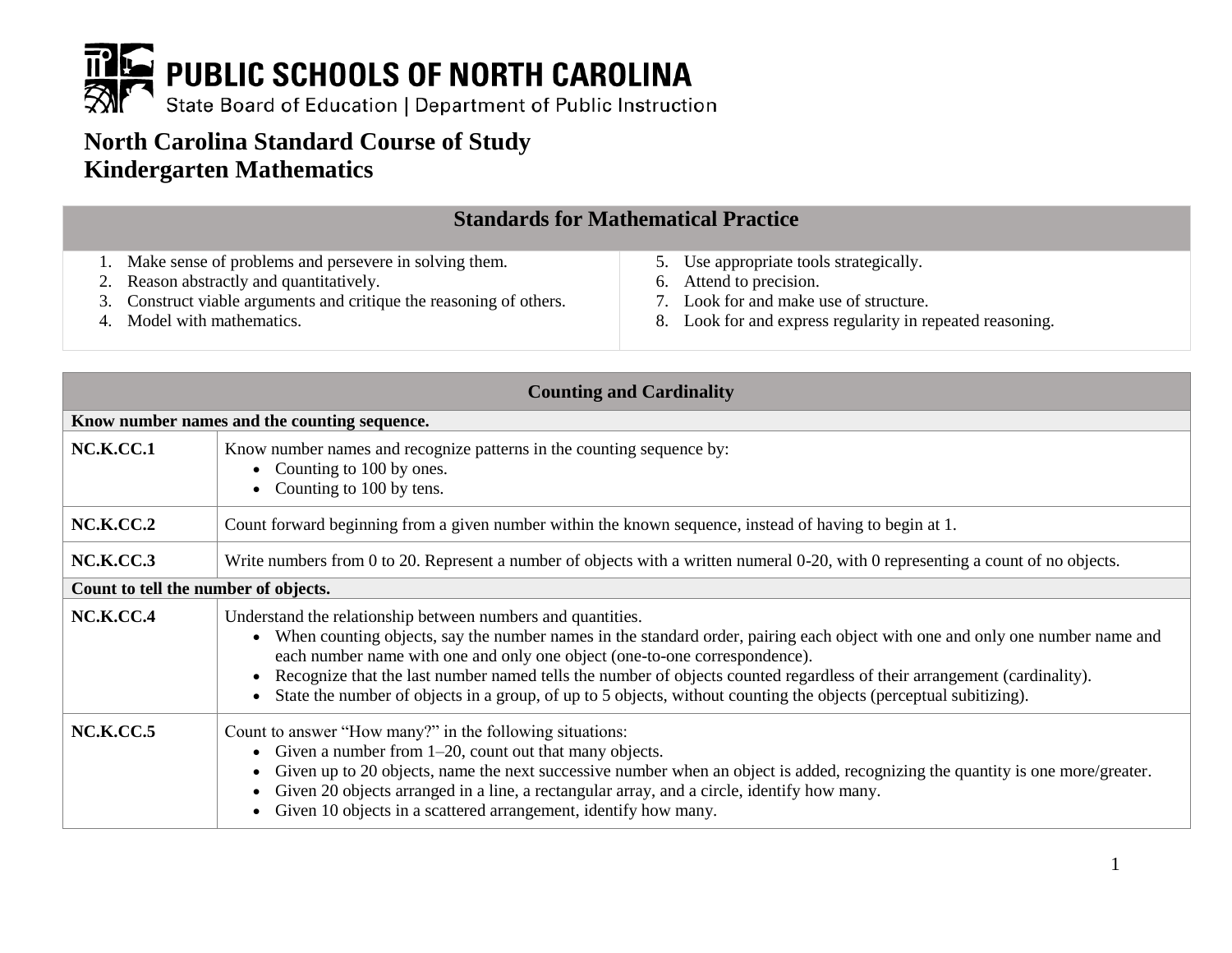

# **North Carolina Standard Course of Study Kindergarten Mathematics**

|                                                                     | <b>Standards for Mathematical Practice</b>                |
|---------------------------------------------------------------------|-----------------------------------------------------------|
| 1. Make sense of problems and persevere in solving them.            | 5. Use appropriate tools strategically.                   |
| 2. Reason abstractly and quantitatively.                            | 6. Attend to precision.                                   |
| 3. Construct viable arguments and critique the reasoning of others. | 7. Look for and make use of structure.                    |
| 4. Model with mathematics.                                          | 8. Look for and express regularity in repeated reasoning. |

| <b>Counting and Cardinality</b>      |                                                                                                                                                                                                                                                                                                                                                                                                                                                                                                                             |  |
|--------------------------------------|-----------------------------------------------------------------------------------------------------------------------------------------------------------------------------------------------------------------------------------------------------------------------------------------------------------------------------------------------------------------------------------------------------------------------------------------------------------------------------------------------------------------------------|--|
|                                      | Know number names and the counting sequence.                                                                                                                                                                                                                                                                                                                                                                                                                                                                                |  |
| NC.K.CC.1                            | Know number names and recognize patterns in the counting sequence by:<br>• Counting to 100 by ones.<br>Counting to 100 by tens.                                                                                                                                                                                                                                                                                                                                                                                             |  |
| <b>NC.K.CC.2</b>                     | Count forward beginning from a given number within the known sequence, instead of having to begin at 1.                                                                                                                                                                                                                                                                                                                                                                                                                     |  |
| NC.K.CC.3                            | Write numbers from 0 to 20. Represent a number of objects with a written numeral 0-20, with 0 representing a count of no objects.                                                                                                                                                                                                                                                                                                                                                                                           |  |
| Count to tell the number of objects. |                                                                                                                                                                                                                                                                                                                                                                                                                                                                                                                             |  |
| NC.K.CC.4                            | Understand the relationship between numbers and quantities.<br>• When counting objects, say the number names in the standard order, pairing each object with one and only one number name and<br>each number name with one and only one object (one-to-one correspondence).<br>Recognize that the last number named tells the number of objects counted regardless of their arrangement (cardinality).<br>State the number of objects in a group, of up to 5 objects, without counting the objects (perceptual subitizing). |  |
| NC.K.CC.5                            | Count to answer "How many?" in the following situations:<br>• Given a number from $1-20$ , count out that many objects.<br>Given up to 20 objects, name the next successive number when an object is added, recognizing the quantity is one more/greater.<br>Given 20 objects arranged in a line, a rectangular array, and a circle, identify how many.<br>Given 10 objects in a scattered arrangement, identify how many.                                                                                                  |  |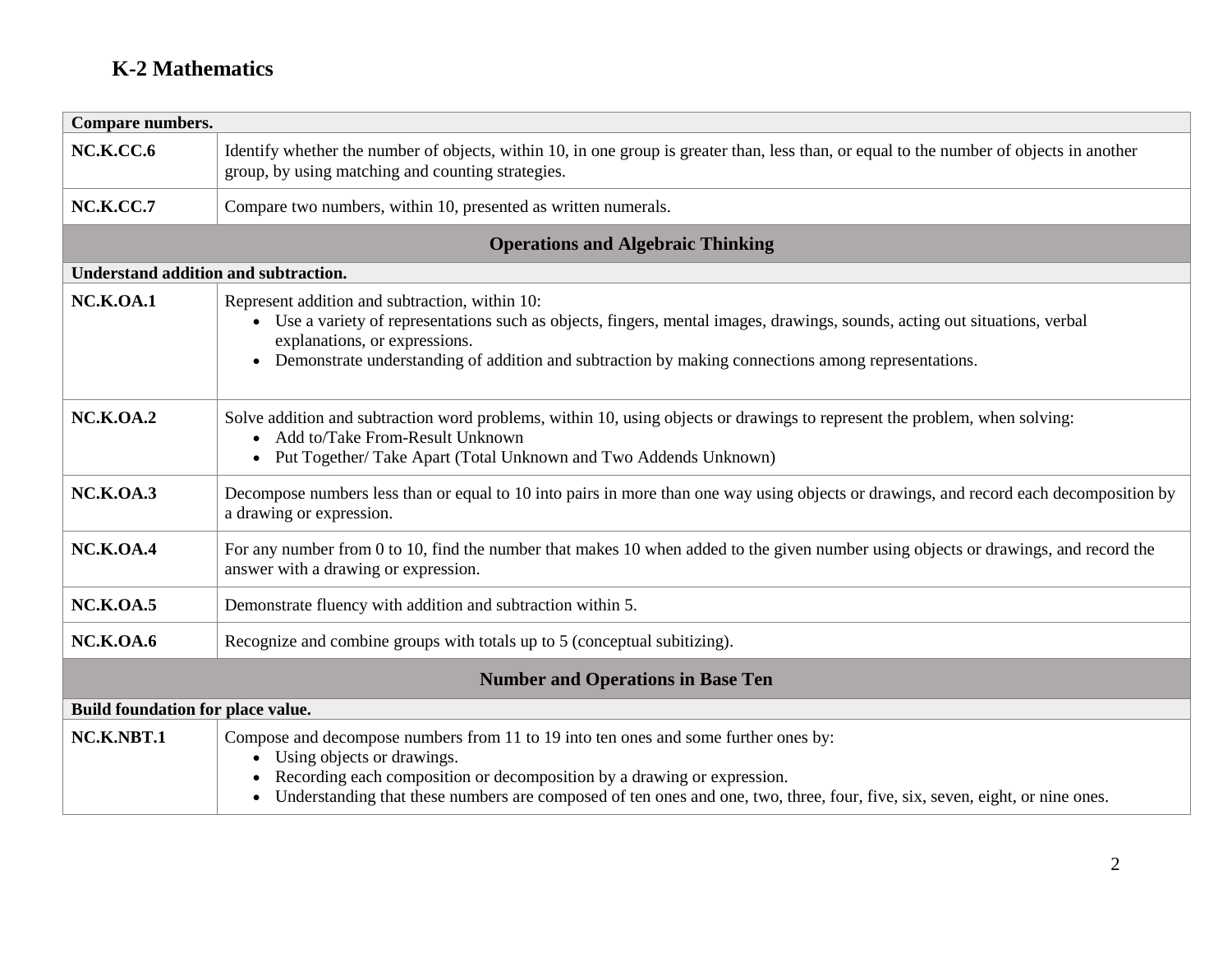| Compare numbers.                            |                                                                                                                                                                                                                                                                                                                               |  |
|---------------------------------------------|-------------------------------------------------------------------------------------------------------------------------------------------------------------------------------------------------------------------------------------------------------------------------------------------------------------------------------|--|
| <b>NC.K.CC.6</b>                            | Identify whether the number of objects, within 10, in one group is greater than, less than, or equal to the number of objects in another<br>group, by using matching and counting strategies.                                                                                                                                 |  |
| NC.K.CC.7                                   | Compare two numbers, within 10, presented as written numerals.                                                                                                                                                                                                                                                                |  |
|                                             | <b>Operations and Algebraic Thinking</b>                                                                                                                                                                                                                                                                                      |  |
| <b>Understand addition and subtraction.</b> |                                                                                                                                                                                                                                                                                                                               |  |
| <b>NC.K.OA.1</b>                            | Represent addition and subtraction, within 10:<br>• Use a variety of representations such as objects, fingers, mental images, drawings, sounds, acting out situations, verbal<br>explanations, or expressions.<br>• Demonstrate understanding of addition and subtraction by making connections among representations.        |  |
| <b>NC.K.OA.2</b>                            | Solve addition and subtraction word problems, within 10, using objects or drawings to represent the problem, when solving:<br>• Add to/Take From-Result Unknown<br>• Put Together/ Take Apart (Total Unknown and Two Addends Unknown)                                                                                         |  |
| <b>NC.K.OA.3</b>                            | Decompose numbers less than or equal to 10 into pairs in more than one way using objects or drawings, and record each decomposition by<br>a drawing or expression.                                                                                                                                                            |  |
| NC.K.OA.4                                   | For any number from 0 to 10, find the number that makes 10 when added to the given number using objects or drawings, and record the<br>answer with a drawing or expression.                                                                                                                                                   |  |
| <b>NC.K.OA.5</b>                            | Demonstrate fluency with addition and subtraction within 5.                                                                                                                                                                                                                                                                   |  |
| <b>NC.K.OA.6</b>                            | Recognize and combine groups with totals up to 5 (conceptual subitizing).                                                                                                                                                                                                                                                     |  |
| <b>Number and Operations in Base Ten</b>    |                                                                                                                                                                                                                                                                                                                               |  |
| Build foundation for place value.           |                                                                                                                                                                                                                                                                                                                               |  |
| NC.K.NBT.1                                  | Compose and decompose numbers from 11 to 19 into ten ones and some further ones by:<br>• Using objects or drawings.<br>Recording each composition or decomposition by a drawing or expression.<br>Understanding that these numbers are composed of ten ones and one, two, three, four, five, six, seven, eight, or nine ones. |  |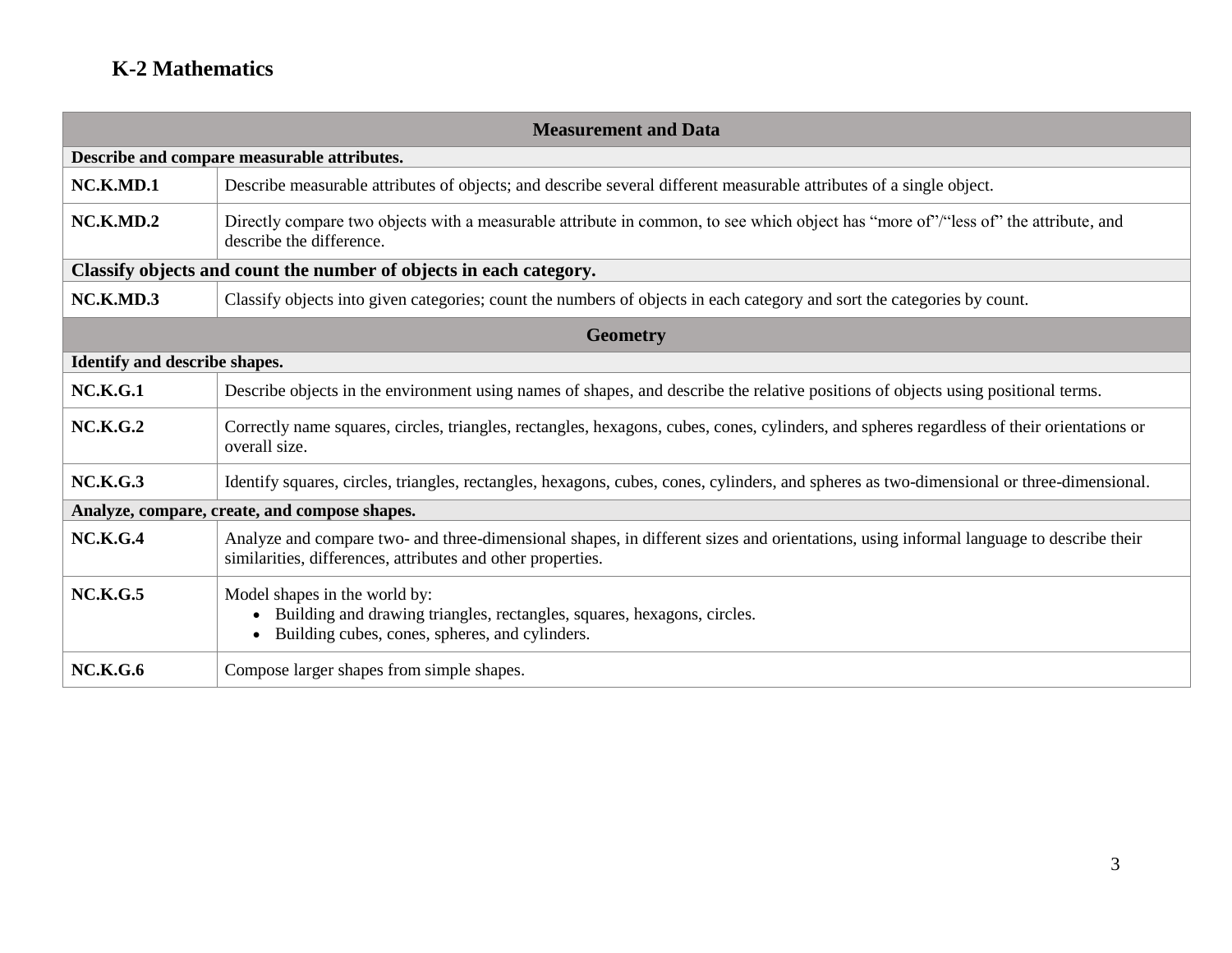| <b>Measurement and Data</b>                                        |                                                                                                                                                                                                      |  |
|--------------------------------------------------------------------|------------------------------------------------------------------------------------------------------------------------------------------------------------------------------------------------------|--|
|                                                                    | Describe and compare measurable attributes.                                                                                                                                                          |  |
| NC.K.MD.1                                                          | Describe measurable attributes of objects; and describe several different measurable attributes of a single object.                                                                                  |  |
| NC.K.MD.2                                                          | Directly compare two objects with a measurable attribute in common, to see which object has "more of"/"less of" the attribute, and<br>describe the difference.                                       |  |
| Classify objects and count the number of objects in each category. |                                                                                                                                                                                                      |  |
| NC.K.MD.3                                                          | Classify objects into given categories; count the numbers of objects in each category and sort the categories by count.                                                                              |  |
| <b>Geometry</b>                                                    |                                                                                                                                                                                                      |  |
| <b>Identify and describe shapes.</b>                               |                                                                                                                                                                                                      |  |
| <b>NC.K.G.1</b>                                                    | Describe objects in the environment using names of shapes, and describe the relative positions of objects using positional terms.                                                                    |  |
| <b>NC.K.G.2</b>                                                    | Correctly name squares, circles, triangles, rectangles, hexagons, cubes, cones, cylinders, and spheres regardless of their orientations or<br>overall size.                                          |  |
| <b>NC.K.G.3</b>                                                    | Identify squares, circles, triangles, rectangles, hexagons, cubes, cones, cylinders, and spheres as two-dimensional or three-dimensional.                                                            |  |
|                                                                    | Analyze, compare, create, and compose shapes.                                                                                                                                                        |  |
| NC.K.G.4                                                           | Analyze and compare two- and three-dimensional shapes, in different sizes and orientations, using informal language to describe their<br>similarities, differences, attributes and other properties. |  |
| <b>NC.K.G.5</b>                                                    | Model shapes in the world by:<br>Building and drawing triangles, rectangles, squares, hexagons, circles.<br>Building cubes, cones, spheres, and cylinders.                                           |  |
| <b>NC.K.G.6</b>                                                    | Compose larger shapes from simple shapes.                                                                                                                                                            |  |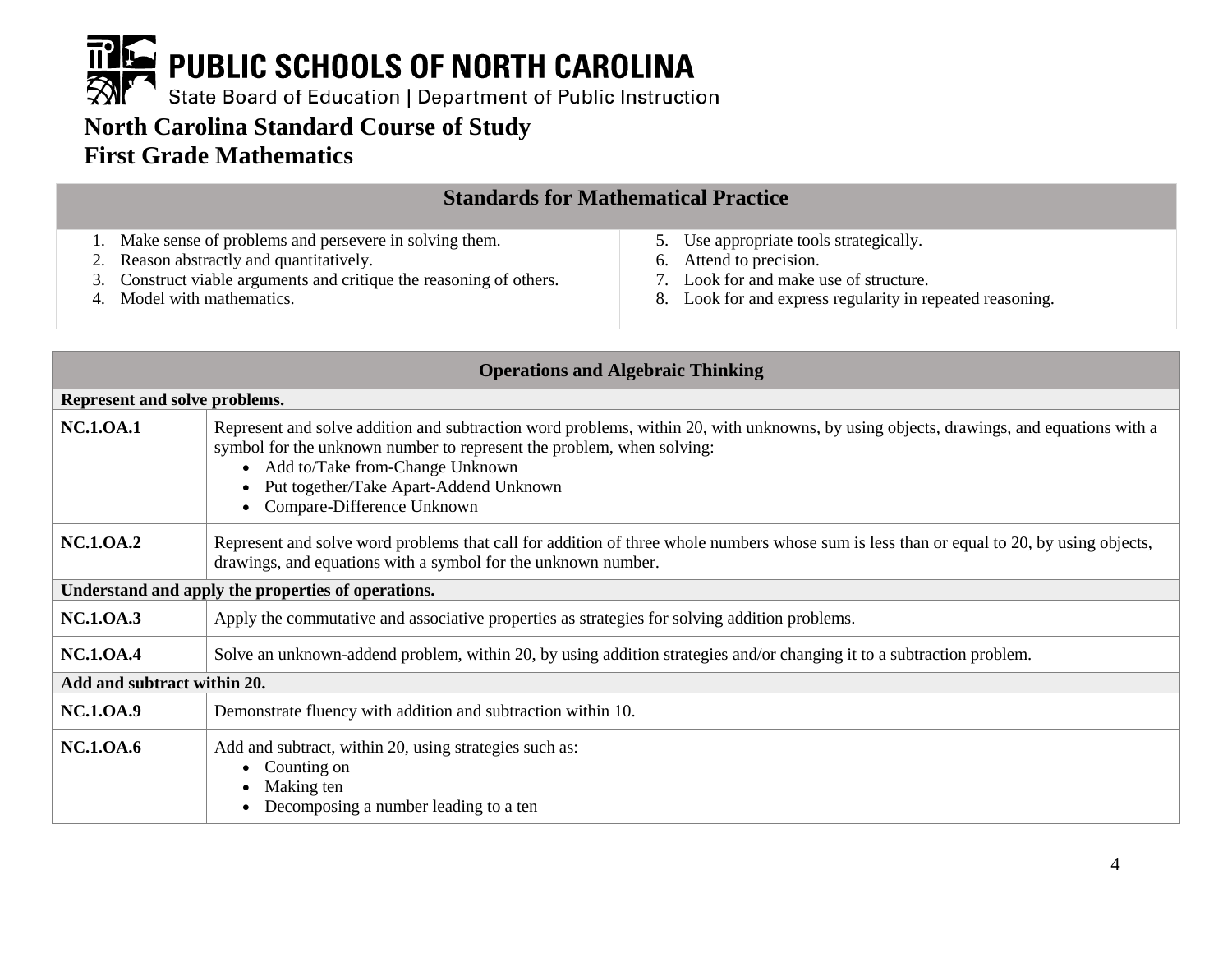

## **North Carolina Standard Course of Study First Grade Mathematics**

| <b>Standards for Mathematical Practice</b>                          |                                                           |  |
|---------------------------------------------------------------------|-----------------------------------------------------------|--|
| Make sense of problems and persevere in solving them.               | 5. Use appropriate tools strategically.                   |  |
| 2. Reason abstractly and quantitatively.                            | 6. Attend to precision.                                   |  |
| 3. Construct viable arguments and critique the reasoning of others. | 7. Look for and make use of structure.                    |  |
| 4. Model with mathematics.                                          | 8. Look for and express regularity in repeated reasoning. |  |
|                                                                     |                                                           |  |
|                                                                     |                                                           |  |

| <b>Operations and Algebraic Thinking</b>           |                                                                                                                                                                                                                                                                                                                              |  |
|----------------------------------------------------|------------------------------------------------------------------------------------------------------------------------------------------------------------------------------------------------------------------------------------------------------------------------------------------------------------------------------|--|
| Represent and solve problems.                      |                                                                                                                                                                                                                                                                                                                              |  |
| <b>NC.1.0A.1</b>                                   | Represent and solve addition and subtraction word problems, within 20, with unknowns, by using objects, drawings, and equations with a<br>symbol for the unknown number to represent the problem, when solving:<br>• Add to/Take from-Change Unknown<br>Put together/Take Apart-Addend Unknown<br>Compare-Difference Unknown |  |
| <b>NC.1.0A.2</b>                                   | Represent and solve word problems that call for addition of three whole numbers whose sum is less than or equal to 20, by using objects,<br>drawings, and equations with a symbol for the unknown number.                                                                                                                    |  |
| Understand and apply the properties of operations. |                                                                                                                                                                                                                                                                                                                              |  |
| <b>NC.1.0A.3</b>                                   | Apply the commutative and associative properties as strategies for solving addition problems.                                                                                                                                                                                                                                |  |
| <b>NC.1.0A.4</b>                                   | Solve an unknown-addend problem, within 20, by using addition strategies and/or changing it to a subtraction problem.                                                                                                                                                                                                        |  |
| Add and subtract within 20.                        |                                                                                                                                                                                                                                                                                                                              |  |
| <b>NC.1.0A.9</b>                                   | Demonstrate fluency with addition and subtraction within 10.                                                                                                                                                                                                                                                                 |  |
| <b>NC.1.0A.6</b>                                   | Add and subtract, within 20, using strategies such as:<br>Counting on<br>Making ten<br>Decomposing a number leading to a ten                                                                                                                                                                                                 |  |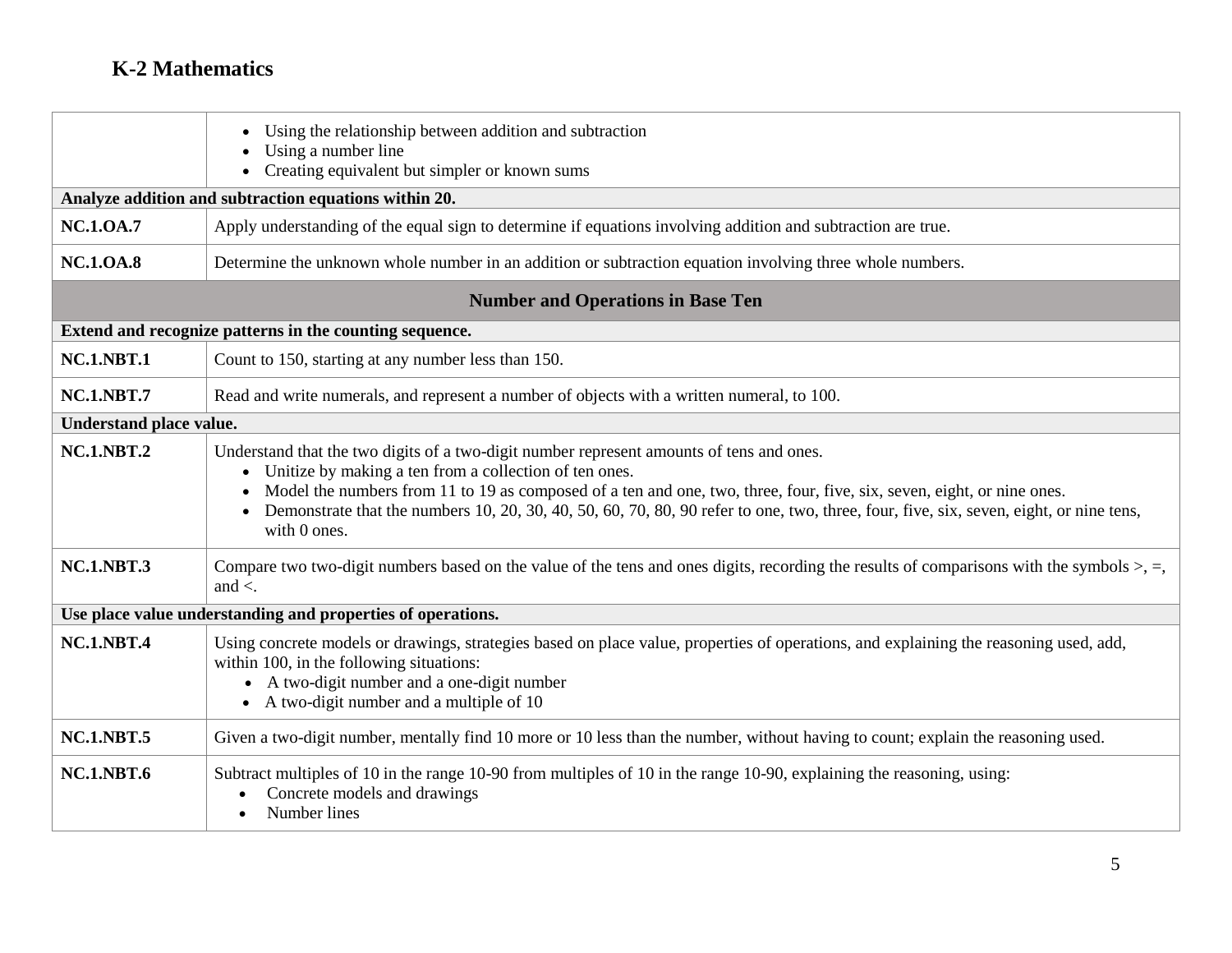|                                          | Using the relationship between addition and subtraction<br>Using a number line<br>Creating equivalent but simpler or known sums                                                                                                                                                                                                                                                                                                          |  |  |
|------------------------------------------|------------------------------------------------------------------------------------------------------------------------------------------------------------------------------------------------------------------------------------------------------------------------------------------------------------------------------------------------------------------------------------------------------------------------------------------|--|--|
|                                          | Analyze addition and subtraction equations within 20.                                                                                                                                                                                                                                                                                                                                                                                    |  |  |
|                                          |                                                                                                                                                                                                                                                                                                                                                                                                                                          |  |  |
| <b>NC.1.0A.7</b>                         | Apply understanding of the equal sign to determine if equations involving addition and subtraction are true.                                                                                                                                                                                                                                                                                                                             |  |  |
| <b>NC.1.0A.8</b>                         | Determine the unknown whole number in an addition or subtraction equation involving three whole numbers.                                                                                                                                                                                                                                                                                                                                 |  |  |
| <b>Number and Operations in Base Ten</b> |                                                                                                                                                                                                                                                                                                                                                                                                                                          |  |  |
|                                          | Extend and recognize patterns in the counting sequence.                                                                                                                                                                                                                                                                                                                                                                                  |  |  |
| <b>NC.1.NBT.1</b>                        | Count to 150, starting at any number less than 150.                                                                                                                                                                                                                                                                                                                                                                                      |  |  |
| <b>NC.1.NBT.7</b>                        | Read and write numerals, and represent a number of objects with a written numeral, to 100.                                                                                                                                                                                                                                                                                                                                               |  |  |
| <b>Understand place value.</b>           |                                                                                                                                                                                                                                                                                                                                                                                                                                          |  |  |
| <b>NC.1.NBT.2</b>                        | Understand that the two digits of a two-digit number represent amounts of tens and ones.<br>• Unitize by making a ten from a collection of ten ones.<br>Model the numbers from 11 to 19 as composed of a ten and one, two, three, four, five, six, seven, eight, or nine ones.<br>Demonstrate that the numbers 10, 20, 30, 40, 50, 60, 70, 80, 90 refer to one, two, three, four, five, six, seven, eight, or nine tens,<br>with 0 ones. |  |  |
| <b>NC.1.NBT.3</b>                        | Compare two two-digit numbers based on the value of the tens and ones digits, recording the results of comparisons with the symbols $>$ , $=$ ,<br>and $\lt$ .                                                                                                                                                                                                                                                                           |  |  |
|                                          | Use place value understanding and properties of operations.                                                                                                                                                                                                                                                                                                                                                                              |  |  |
| <b>NC.1.NBT.4</b>                        | Using concrete models or drawings, strategies based on place value, properties of operations, and explaining the reasoning used, add,<br>within 100, in the following situations:<br>• A two-digit number and a one-digit number<br>$\bullet$ A two-digit number and a multiple of 10                                                                                                                                                    |  |  |
| <b>NC.1.NBT.5</b>                        | Given a two-digit number, mentally find 10 more or 10 less than the number, without having to count; explain the reasoning used.                                                                                                                                                                                                                                                                                                         |  |  |
| <b>NC.1.NBT.6</b>                        | Subtract multiples of 10 in the range 10-90 from multiples of 10 in the range 10-90, explaining the reasoning, using:<br>Concrete models and drawings<br>Number lines                                                                                                                                                                                                                                                                    |  |  |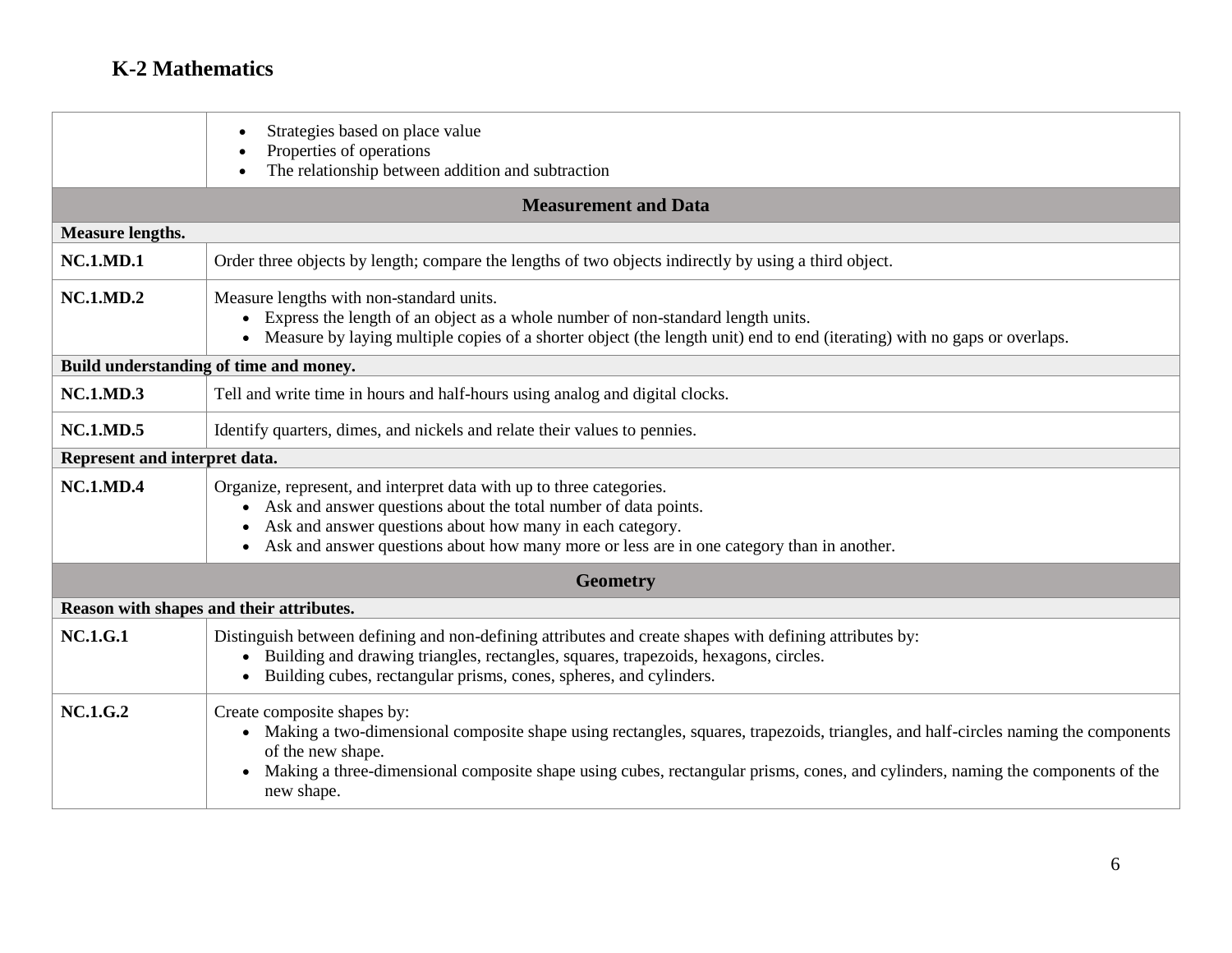|                               | Strategies based on place value<br>$\bullet$<br>Properties of operations                                                                                                                                                                                                                                                                |  |  |
|-------------------------------|-----------------------------------------------------------------------------------------------------------------------------------------------------------------------------------------------------------------------------------------------------------------------------------------------------------------------------------------|--|--|
|                               | The relationship between addition and subtraction                                                                                                                                                                                                                                                                                       |  |  |
|                               | <b>Measurement and Data</b>                                                                                                                                                                                                                                                                                                             |  |  |
| <b>Measure lengths.</b>       |                                                                                                                                                                                                                                                                                                                                         |  |  |
| <b>NC.1.MD.1</b>              | Order three objects by length; compare the lengths of two objects indirectly by using a third object.                                                                                                                                                                                                                                   |  |  |
| <b>NC.1.MD.2</b>              | Measure lengths with non-standard units.<br>• Express the length of an object as a whole number of non-standard length units.<br>• Measure by laying multiple copies of a shorter object (the length unit) end to end (iterating) with no gaps or overlaps.                                                                             |  |  |
|                               | Build understanding of time and money.                                                                                                                                                                                                                                                                                                  |  |  |
| <b>NC.1.MD.3</b>              | Tell and write time in hours and half-hours using analog and digital clocks.                                                                                                                                                                                                                                                            |  |  |
| <b>NC.1.MD.5</b>              | Identify quarters, dimes, and nickels and relate their values to pennies.                                                                                                                                                                                                                                                               |  |  |
| Represent and interpret data. |                                                                                                                                                                                                                                                                                                                                         |  |  |
| <b>NC.1.MD.4</b>              | Organize, represent, and interpret data with up to three categories.<br>Ask and answer questions about the total number of data points.<br>Ask and answer questions about how many in each category.<br>Ask and answer questions about how many more or less are in one category than in another.                                       |  |  |
| <b>Geometry</b>               |                                                                                                                                                                                                                                                                                                                                         |  |  |
|                               | Reason with shapes and their attributes.                                                                                                                                                                                                                                                                                                |  |  |
| <b>NC.1.G.1</b>               | Distinguish between defining and non-defining attributes and create shapes with defining attributes by:<br>Building and drawing triangles, rectangles, squares, trapezoids, hexagons, circles.<br>Building cubes, rectangular prisms, cones, spheres, and cylinders.                                                                    |  |  |
| <b>NC.1.G.2</b>               | Create composite shapes by:<br>• Making a two-dimensional composite shape using rectangles, squares, trapezoids, triangles, and half-circles naming the components<br>of the new shape.<br>Making a three-dimensional composite shape using cubes, rectangular prisms, cones, and cylinders, naming the components of the<br>new shape. |  |  |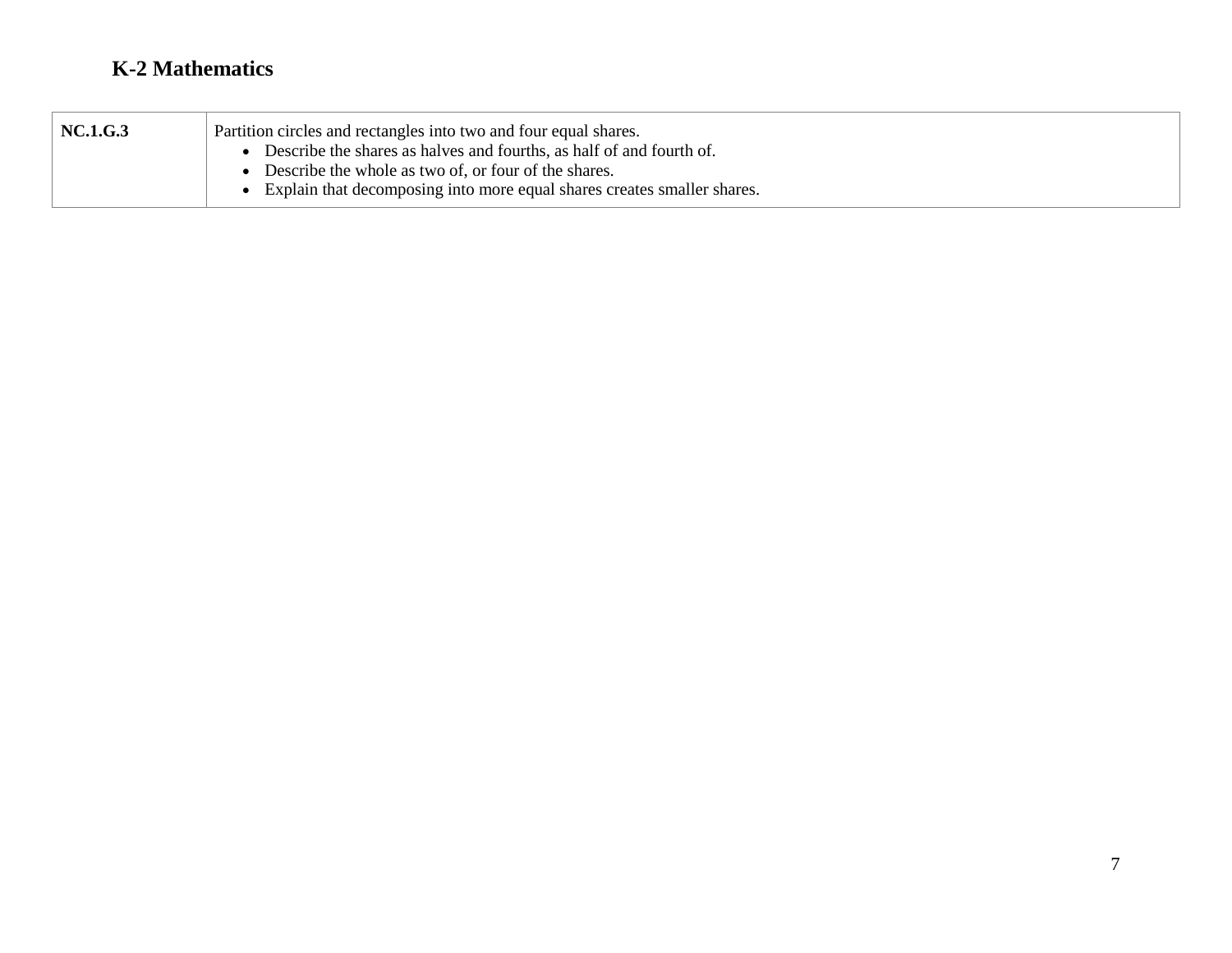| <b>NC.1.G.3</b> | Partition circles and rectangles into two and four equal shares.        |  |
|-----------------|-------------------------------------------------------------------------|--|
|                 | Describe the shares as halves and fourths, as half of and fourth of.    |  |
|                 | Describe the whole as two of, or four of the shares.                    |  |
|                 | Explain that decomposing into more equal shares creates smaller shares. |  |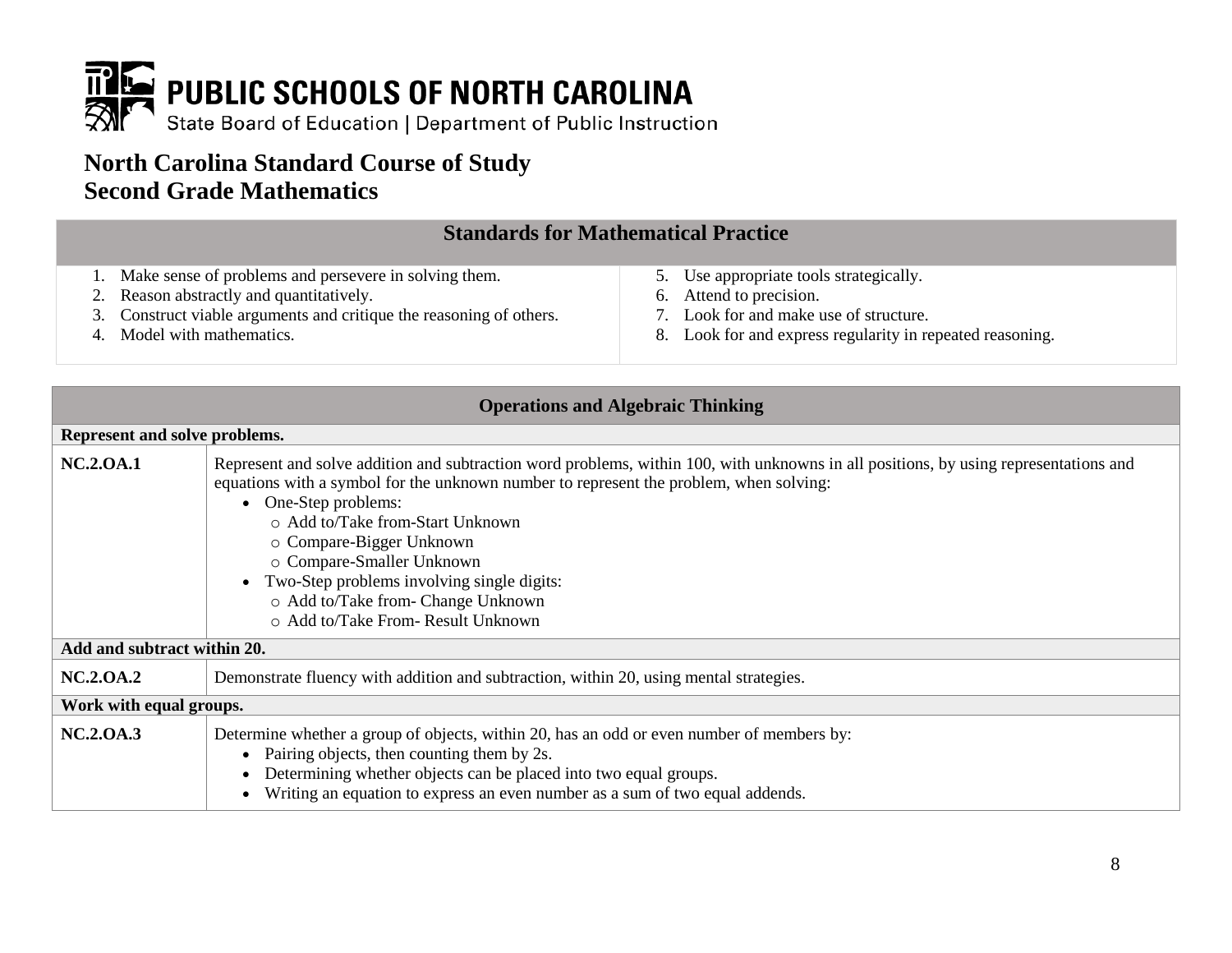

## **North Carolina Standard Course of Study Second Grade Mathematics**

#### **Standards for Mathematical Practice**

- 1. Make sense of problems and persevere in solving them.
- 2. Reason abstractly and quantitatively.
- 3. Construct viable arguments and critique the reasoning of others.
- 4. Model with mathematics.
- 5. Use appropriate tools strategically.
- 6. Attend to precision.
- 7. Look for and make use of structure.
- 8. Look for and express regularity in repeated reasoning.

| <b>Operations and Algebraic Thinking</b> |                                                                                                                                                                                                                                                                                                                                                                                                                                                                               |  |
|------------------------------------------|-------------------------------------------------------------------------------------------------------------------------------------------------------------------------------------------------------------------------------------------------------------------------------------------------------------------------------------------------------------------------------------------------------------------------------------------------------------------------------|--|
| Represent and solve problems.            |                                                                                                                                                                                                                                                                                                                                                                                                                                                                               |  |
| <b>NC.2.0A.1</b>                         | Represent and solve addition and subtraction word problems, within 100, with unknowns in all positions, by using representations and<br>equations with a symbol for the unknown number to represent the problem, when solving:<br>• One-Step problems:<br>o Add to/Take from-Start Unknown<br>o Compare-Bigger Unknown<br>o Compare-Smaller Unknown<br>Two-Step problems involving single digits:<br>o Add to/Take from- Change Unknown<br>○ Add to/Take From- Result Unknown |  |
| Add and subtract within 20.              |                                                                                                                                                                                                                                                                                                                                                                                                                                                                               |  |
| <b>NC.2.0A.2</b>                         | Demonstrate fluency with addition and subtraction, within 20, using mental strategies.                                                                                                                                                                                                                                                                                                                                                                                        |  |
| Work with equal groups.                  |                                                                                                                                                                                                                                                                                                                                                                                                                                                                               |  |
| <b>NC.2.0A.3</b>                         | Determine whether a group of objects, within 20, has an odd or even number of members by:<br>• Pairing objects, then counting them by 2s.<br>Determining whether objects can be placed into two equal groups.<br>Writing an equation to express an even number as a sum of two equal addends.                                                                                                                                                                                 |  |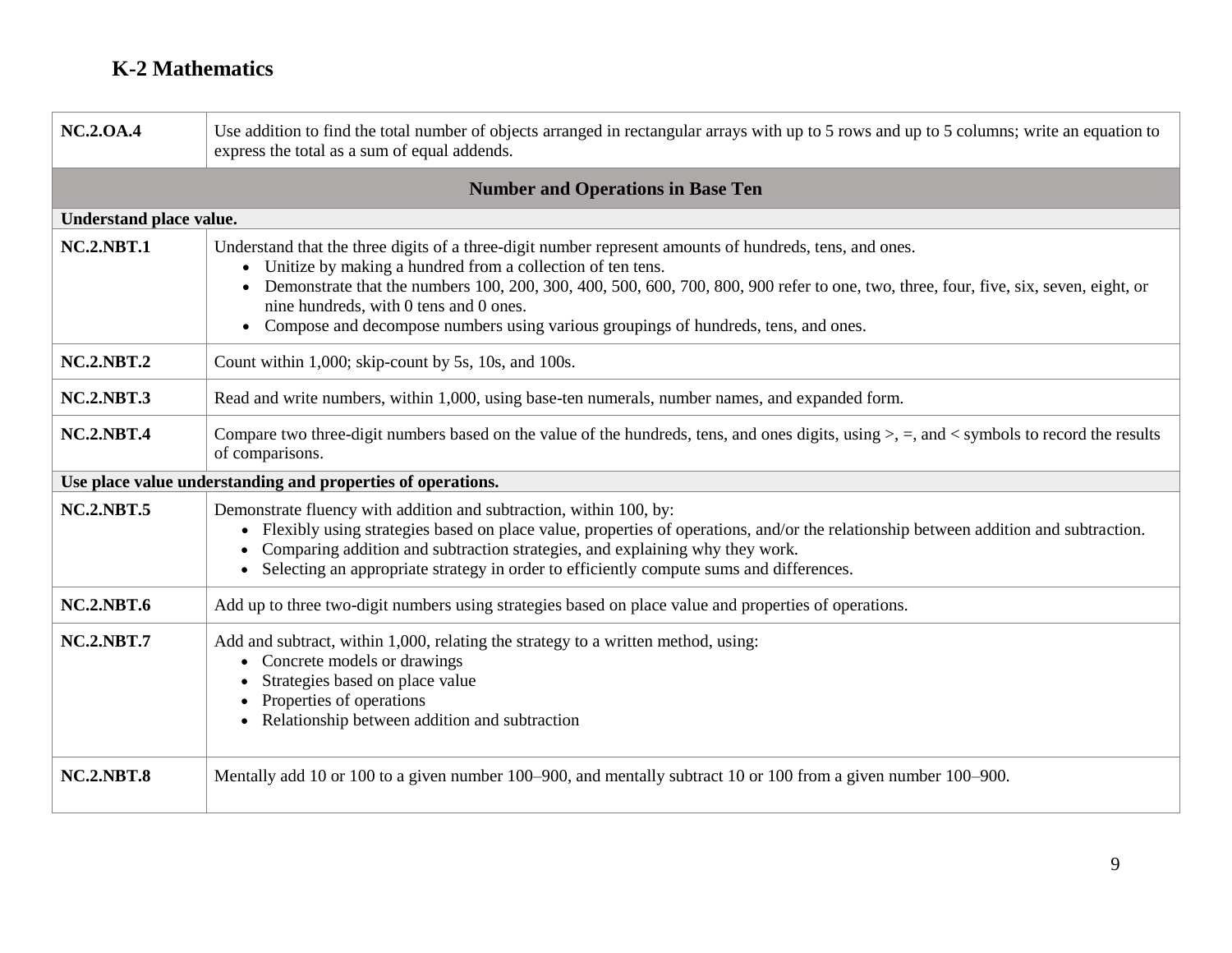| <b>NC.2.0A.4</b>  | Use addition to find the total number of objects arranged in rectangular arrays with up to 5 rows and up to 5 columns; write an equation to<br>express the total as a sum of equal addends.                                                                                                                                                                                                                                                                |  |
|-------------------|------------------------------------------------------------------------------------------------------------------------------------------------------------------------------------------------------------------------------------------------------------------------------------------------------------------------------------------------------------------------------------------------------------------------------------------------------------|--|
|                   | <b>Number and Operations in Base Ten</b>                                                                                                                                                                                                                                                                                                                                                                                                                   |  |
|                   | Understand place value.                                                                                                                                                                                                                                                                                                                                                                                                                                    |  |
| <b>NC.2.NBT.1</b> | Understand that the three digits of a three-digit number represent amounts of hundreds, tens, and ones.<br>Unitize by making a hundred from a collection of ten tens.<br>Demonstrate that the numbers 100, 200, 300, 400, 500, 600, 700, 800, 900 refer to one, two, three, four, five, six, seven, eight, or<br>nine hundreds, with 0 tens and 0 ones.<br>Compose and decompose numbers using various groupings of hundreds, tens, and ones.<br>$\bullet$ |  |
| <b>NC.2.NBT.2</b> | Count within 1,000; skip-count by 5s, 10s, and 100s.                                                                                                                                                                                                                                                                                                                                                                                                       |  |
| <b>NC.2.NBT.3</b> | Read and write numbers, within 1,000, using base-ten numerals, number names, and expanded form.                                                                                                                                                                                                                                                                                                                                                            |  |
| <b>NC.2.NBT.4</b> | Compare two three-digit numbers based on the value of the hundreds, tens, and ones digits, using $>$ , $=$ , and $\lt$ symbols to record the results<br>of comparisons.                                                                                                                                                                                                                                                                                    |  |
|                   | Use place value understanding and properties of operations.                                                                                                                                                                                                                                                                                                                                                                                                |  |
| <b>NC.2.NBT.5</b> | Demonstrate fluency with addition and subtraction, within 100, by:<br>Flexibly using strategies based on place value, properties of operations, and/or the relationship between addition and subtraction.<br>$\bullet$<br>Comparing addition and subtraction strategies, and explaining why they work.<br>Selecting an appropriate strategy in order to efficiently compute sums and differences.<br>$\bullet$                                             |  |
| <b>NC.2.NBT.6</b> | Add up to three two-digit numbers using strategies based on place value and properties of operations.                                                                                                                                                                                                                                                                                                                                                      |  |
| <b>NC.2.NBT.7</b> | Add and subtract, within 1,000, relating the strategy to a written method, using:<br>Concrete models or drawings<br>Strategies based on place value<br>Properties of operations<br>Relationship between addition and subtraction                                                                                                                                                                                                                           |  |
| <b>NC.2.NBT.8</b> | Mentally add 10 or 100 to a given number 100–900, and mentally subtract 10 or 100 from a given number 100–900.                                                                                                                                                                                                                                                                                                                                             |  |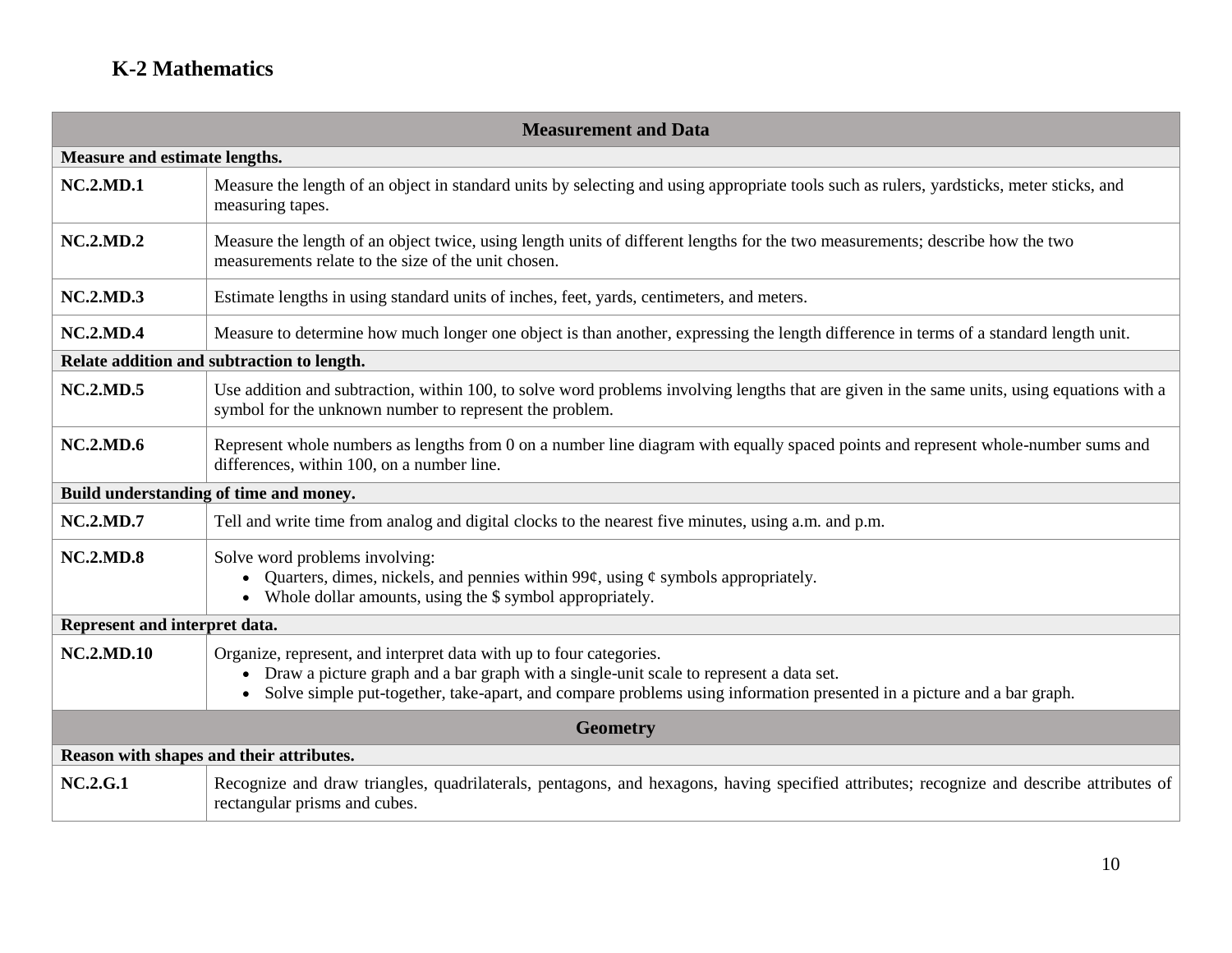| <b>Measurement and Data</b>              |                                                                                                                                                                                                                                                                                                       |  |
|------------------------------------------|-------------------------------------------------------------------------------------------------------------------------------------------------------------------------------------------------------------------------------------------------------------------------------------------------------|--|
| Measure and estimate lengths.            |                                                                                                                                                                                                                                                                                                       |  |
| <b>NC.2.MD.1</b>                         | Measure the length of an object in standard units by selecting and using appropriate tools such as rulers, yardsticks, meter sticks, and<br>measuring tapes.                                                                                                                                          |  |
| <b>NC.2.MD.2</b>                         | Measure the length of an object twice, using length units of different lengths for the two measurements; describe how the two<br>measurements relate to the size of the unit chosen.                                                                                                                  |  |
| <b>NC.2.MD.3</b>                         | Estimate lengths in using standard units of inches, feet, yards, centimeters, and meters.                                                                                                                                                                                                             |  |
| <b>NC.2.MD.4</b>                         | Measure to determine how much longer one object is than another, expressing the length difference in terms of a standard length unit.                                                                                                                                                                 |  |
|                                          | Relate addition and subtraction to length.                                                                                                                                                                                                                                                            |  |
| <b>NC.2.MD.5</b>                         | Use addition and subtraction, within 100, to solve word problems involving lengths that are given in the same units, using equations with a<br>symbol for the unknown number to represent the problem.                                                                                                |  |
| <b>NC.2.MD.6</b>                         | Represent whole numbers as lengths from 0 on a number line diagram with equally spaced points and represent whole-number sums and<br>differences, within 100, on a number line.                                                                                                                       |  |
|                                          | Build understanding of time and money.                                                                                                                                                                                                                                                                |  |
| <b>NC.2.MD.7</b>                         | Tell and write time from analog and digital clocks to the nearest five minutes, using a.m. and p.m.                                                                                                                                                                                                   |  |
| <b>NC.2.MD.8</b>                         | Solve word problems involving:<br>Quarters, dimes, nickels, and pennies within 99 $\varphi$ , using $\varphi$ symbols appropriately.<br>• Whole dollar amounts, using the \$ symbol appropriately.                                                                                                    |  |
| Represent and interpret data.            |                                                                                                                                                                                                                                                                                                       |  |
| <b>NC.2.MD.10</b>                        | Organize, represent, and interpret data with up to four categories.<br>• Draw a picture graph and a bar graph with a single-unit scale to represent a data set.<br>Solve simple put-together, take-apart, and compare problems using information presented in a picture and a bar graph.<br>$\bullet$ |  |
| <b>Geometry</b>                          |                                                                                                                                                                                                                                                                                                       |  |
| Reason with shapes and their attributes. |                                                                                                                                                                                                                                                                                                       |  |
| <b>NC.2.G.1</b>                          | Recognize and draw triangles, quadrilaterals, pentagons, and hexagons, having specified attributes; recognize and describe attributes of<br>rectangular prisms and cubes.                                                                                                                             |  |